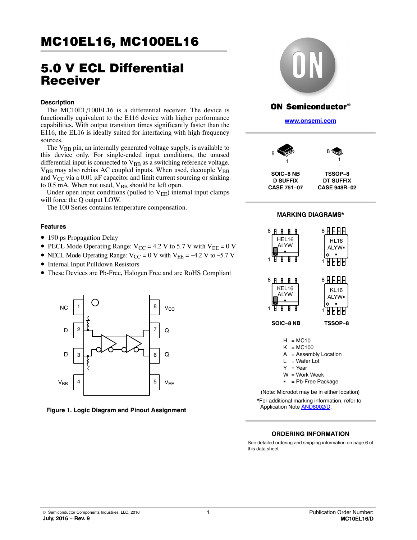# 5.0 V ECL Differential Receiver

#### **Description**

The MC10EL/100EL16 is a differential receiver. The device is functionally equivalent to the E116 device with higher performance capabilities. With output transition times significantly faster than the E116, the EL16 is ideally suited for interfacing with high frequency sources.

The  $V_{BR}$  pin, an internally generated voltage supply, is available to this device only. For single-ended input conditions, the unused differential input is connected to  $V_{BB}$  as a switching reference voltage.  $V_{BB}$  may also rebias AC coupled inputs. When used, decouple  $V_{BB}$ and  $V_{CC}$  via a 0.01 µF capacitor and limit current sourcing or sinking to  $0.5$  mA. When not used,  $V_{BB}$  should be left open.

Under open input conditions (pulled to  $V_{EE}$ ) internal input clamps will force the Q output LOW.

The 100 Series contains temperature compensation.

#### **Features**

- 190 ps Propagation Delay
- PECL Mode Operating Range:  $V_{CC}$  = 4.2 V to 5.7 V with  $V_{EE}$  = 0 V
- NECL Mode Operating Range:  $V_{CC} = 0$  V with  $V_{EE} = -4.2$  V to -5.7 V
- Internal Input Pulldown Resistors
- These Devices are Pb-Free, Halogen Free and are RoHS Compliant



**Figure 1. Logic Diagram and Pinout Assignment**



## ON Semiconductor $^\circ$

**[www.onsemi.com]( http://www.onsemi.com/)**



**D SUFFIX CASE 751−07**



1



**MARKING DIAGRAMS\***





- A = Assembly Location
- $L = Water$  Lot
- $Y = Year$
- $W = Work Week$
- = Pb-Free Package

\*For additional marking information, refer to Application Note [AND8002/D](http://www.onsemi.com/pub_link/Collateral/AND8002-D.PDF). (Note: Microdot may be in either location)

#### **ORDERING INFORMATION**

See detailed ordering and shipping information on page [6](#page-5-0) of this data sheet.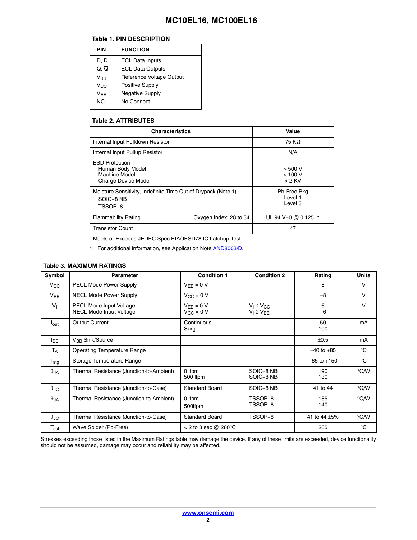#### **Table 1. PIN DESCRIPTION**

| PIN               | <b>FUNCTION</b>          |
|-------------------|--------------------------|
| D, D              | <b>ECL Data Inputs</b>   |
| $Q, \overline{Q}$ | <b>ECL Data Outputs</b>  |
| $V_{\sf BR}$      | Reference Voltage Output |
| $V_{C}$           | Positive Supply          |
| $V_{\text{FF}}$   | <b>Negative Supply</b>   |
| NC.               | No Connect               |
|                   |                          |

#### **Table 2. ATTRIBUTES**

| <b>Characteristics</b>                                                                   | Value                             |  |  |  |  |  |  |  |  |
|------------------------------------------------------------------------------------------|-----------------------------------|--|--|--|--|--|--|--|--|
| Internal Input Pulldown Resistor                                                         | 75 KQ                             |  |  |  |  |  |  |  |  |
| Internal Input Pullup Resistor                                                           | N/A                               |  |  |  |  |  |  |  |  |
| <b>ESD Protection</b><br>Human Body Model<br>Machine Model<br><b>Charge Device Model</b> | $>$ 500 V<br>>100V<br>> 2 KV      |  |  |  |  |  |  |  |  |
| Moisture Sensitivity, Indefinite Time Out of Drypack (Note 1)<br>SOIC-8 NB<br>TSSOP-8    | Pb-Free Pkg<br>Level 1<br>Level 3 |  |  |  |  |  |  |  |  |
| <b>Flammability Rating</b><br>Oxygen Index: 28 to 34                                     | UL 94 V-0 @ 0.125 in              |  |  |  |  |  |  |  |  |
| <b>Transistor Count</b>                                                                  | 47                                |  |  |  |  |  |  |  |  |
| Meets or Exceeds JEDEC Spec EIA/JESD78 IC Latchup Test                                   |                                   |  |  |  |  |  |  |  |  |

1. For additional information, see Application Note [AND8003/D](http://www.onsemi.com/pub_link/Collateral/AND8003-D.PDF).

### **Table 3. MAXIMUM RATINGS**

| Symbol                      | <b>Parameter</b>                                          | <b>Condition 1</b>                   | <b>Condition 2</b>                     | Rating          | <b>Units</b>  |
|-----------------------------|-----------------------------------------------------------|--------------------------------------|----------------------------------------|-----------------|---------------|
| $V_{\rm CC}$                | PECL Mode Power Supply                                    | $V_{EE} = 0 V$                       |                                        | 8               | $\vee$        |
| $V_{EE}$                    | <b>NECL Mode Power Supply</b>                             | $V_{\text{CC}} = 0 V$                |                                        | $-8$            | V             |
| V <sub>1</sub>              | PECL Mode Input Voltage<br><b>NECL Mode Input Voltage</b> | $V_{FF} = 0 V$<br>$V_{\rm CC} = 0$ V | $V_1 \leq V_{CC}$<br>$V_1 \geq V_{EE}$ | 6<br>$-6$       | V             |
| $I_{\text{out}}$            | Output Current                                            | Continuous<br>Surge                  |                                        | 50<br>100       | mA            |
| <sup>I</sup> BB             | V <sub>RR</sub> Sink/Source                               |                                      |                                        | ±0.5            | mA            |
| $T_A$                       | <b>Operating Temperature Range</b>                        |                                      |                                        | $-40$ to $+85$  | $^{\circ}C$   |
| $\mathsf{T_{\text{stg}}}$   | Storage Temperature Range                                 |                                      |                                        | $-65$ to $+150$ | $^{\circ}C$   |
| $\theta$ JA                 | Thermal Resistance (Junction-to-Ambient)                  | 0 Ifpm<br>500 Ifpm                   | SOIC-8 NB<br>SOIC-8 NB                 | 190<br>130      | $\degree$ C/W |
| $\theta$ JC                 | Thermal Resistance (Junction-to-Case)                     | <b>Standard Board</b>                | SOIC-8 NB                              | 41 to 44        | $\degree$ C/W |
| $\theta$ JA                 | Thermal Resistance (Junction-to-Ambient)                  | 0 Ifpm<br>500lfpm                    | TSSOP-8<br>TSSOP-8                     | 185<br>140      | $\degree$ C/W |
| $\theta_{\text{JC}}$        | Thermal Resistance (Junction-to-Case)                     | <b>Standard Board</b>                | TSSOP-8                                | 41 to 44 ±5%    | $\degree$ C/W |
| $\mathsf{T}_{\mathsf{sol}}$ | Wave Solder (Pb-Free)                                     | < 2 to 3 sec $@$ 260 $^{\circ}$ C    |                                        | 265             | $^{\circ}C$   |

Stresses exceeding those listed in the Maximum Ratings table may damage the device. If any of these limits are exceeded, device functionality should not be assumed, damage may occur and reliability may be affected.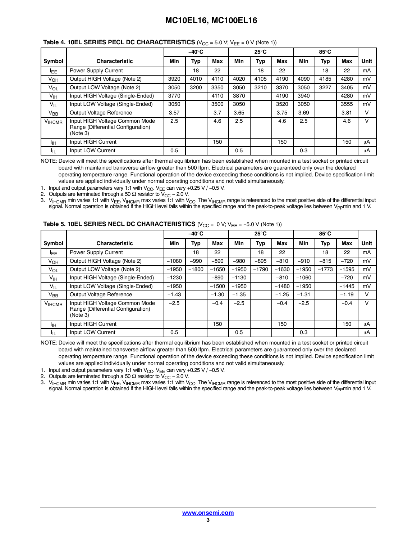#### **Table 4. 10EL SERIES PECL DC CHARACTERISTICS** ( $V_{CC}$  = 5.0 V;  $V_{EE}$  = 0 V (Note 1))

|                   |                                                                                  |      | $-40^\circ C$ |      |            | $25^{\circ}$ C |      |      | 85°C |      |      |
|-------------------|----------------------------------------------------------------------------------|------|---------------|------|------------|----------------|------|------|------|------|------|
| Symbol            | <b>Characteristic</b>                                                            | Min  | Typ           | Max  | <b>Min</b> | Typ            | Max  | Min  | Typ  | Max  | Unit |
| <sup>I</sup> EE   | Power Supply Current                                                             |      | 18            | 22   |            | 18             | 22   |      | 18   | 22   | mA   |
| $V_{OH}$          | Output HIGH Voltage (Note 2)                                                     | 3920 | 4010          | 4110 | 4020       | 4105           | 4190 | 4090 | 4185 | 4280 | mV   |
| $V_{OL}$          | Output LOW Voltage (Note 2)                                                      | 3050 | 3200          | 3350 | 3050       | 3210           | 3370 | 3050 | 3227 | 3405 | mV   |
| V <sub>IH</sub>   | Input HIGH Voltage (Single-Ended)                                                | 3770 |               | 4110 | 3870       |                | 4190 | 3940 |      | 4280 | mV   |
| $V_{IL}$          | Input LOW Voltage (Single-Ended)                                                 | 3050 |               | 3500 | 3050       |                | 3520 | 3050 |      | 3555 | mV   |
| $V_{BB}$          | Output Voltage Reference                                                         | 3.57 |               | 3.7  | 3.65       |                | 3.75 | 3.69 |      | 3.81 | V    |
| V <sub>HCMR</sub> | Input HIGH Voltage Common Mode<br>Range (Differential Configuration)<br>(Note 3) | 2.5  |               | 4.6  | 2.5        |                | 4.6  | 2.5  |      | 4.6  | V    |
| Iін               | Input HIGH Current                                                               |      |               | 150  |            |                | 150  |      |      | 150  | μA   |
| ЧL                | Input LOW Current                                                                | 0.5  |               |      | 0.5        |                |      | 0.3  |      |      | μA   |

NOTE: Device will meet the specifications after thermal equilibrium has been established when mounted in a test socket or printed circuit board with maintained transverse airflow greater than 500 lfpm. Electrical parameters are guaranteed only over the declared operating temperature range. Functional operation of the device exceeding these conditions is not implied. Device specification limit values are applied individually under normal operating conditions and not valid simultaneously.

1. Input and output parameters vary 1:1 with V<sub>CC</sub>. V<sub>EE</sub> can vary +0.25 V / −0.5 V.

2. Outputs are terminated through a 50  $\Omega$  resistor to V<sub>CC</sub> – 2.0 V.

3.  $V_{HCMR}$  min varies 1:1 with V<sub>EE</sub>, V<sub>IHCMR</sub> max varies 1:1 with V<sub>CC</sub>. The V<sub>IHCMR</sub> range is referenced to the most positive side of the differential input signal. Normal operation is obtained if the HIGH level falls within the specified range and the peak-to-peak voltage lies between V<sub>PP</sub>min and 1 V.

|                 |                                                                                  | $-40^\circ C$ |         |         | $25^{\circ}$ C |         |         | 85°C    |            |            |        |
|-----------------|----------------------------------------------------------------------------------|---------------|---------|---------|----------------|---------|---------|---------|------------|------------|--------|
| Symbol          | <b>Characteristic</b>                                                            | Min           | Typ     | Max     | Min            | Typ     | Max     | Min     | <b>Typ</b> | <b>Max</b> | Unit   |
| <b>IEE</b>      | Power Supply Current                                                             |               | 18      | 22      |                | 18      | 22      |         | 18         | 22         | mA     |
| $V_{OH}$        | Output HIGH Voltage (Note 2)                                                     | $-1080$       | $-990$  | $-890$  | $-980$         | $-895$  | $-810$  | $-910$  | $-815$     | $-720$     | mV     |
| $V_{OL}$        | Output LOW Voltage (Note 2)                                                      | $-1950$       | $-1800$ | $-1650$ | $-1950$        | $-1790$ | $-1630$ | $-1950$ | $-1773$    | $-1595$    | mV     |
| V <sub>IH</sub> | Input HIGH Voltage (Single-Ended)                                                | $-1230$       |         | $-890$  | $-1130$        |         | $-810$  | $-1060$ |            | $-720$     | mV     |
| $V_{IL}$        | Input LOW Voltage (Single-Ended)                                                 | $-1950$       |         | $-1500$ | $-1950$        |         | $-1480$ | $-1950$ |            | $-1445$    | mV     |
| $V_{BB}$        | Output Voltage Reference                                                         | $-1.43$       |         | $-1.30$ | $-1.35$        |         | $-1.25$ | $-1.31$ |            | $-1.19$    | $\vee$ |
| <b>V</b> IHCMR  | Input HIGH Voltage Common Mode<br>Range (Differential Configuration)<br>(Note 3) | $-2.5$        |         | $-0.4$  | $-2.5$         |         | $-0.4$  | $-2.5$  |            | $-0.4$     | v      |
| ЧH              | Input HIGH Current                                                               |               |         | 150     |                |         | 150     |         |            | 150        | μA     |
| ЧL              | Input LOW Current                                                                | 0.5           |         |         | 0.5            |         |         | 0.3     |            |            | uA     |

#### **Table 5. 10EL SERIES NECL DC CHARACTERISTICS**  $(V_{CC} = 0 V; V_{FE} = -5.0 V (Note 1))$

NOTE: Device will meet the specifications after thermal equilibrium has been established when mounted in a test socket or printed circuit board with maintained transverse airflow greater than 500 lfpm. Electrical parameters are guaranteed only over the declared operating temperature range. Functional operation of the device exceeding these conditions is not implied. Device specification limit values are applied individually under normal operating conditions and not valid simultaneously.

1. Input and output parameters vary 1:1 with V<sub>CC</sub>. V<sub>EE</sub> can vary +0.25 V / -0.5 V.

2. Outputs are terminated through a 50  $\Omega$  resistor to  $V_{\text{CC}}$  – 2.0 V.

3. V<sub>IHCMR</sub> min varies 1:1 with V<sub>EE</sub>, V<sub>IHCMR</sub> max varies 1:1 with V<sub>CC</sub>. The V<sub>IHCMR</sub> range is referenced to the most positive side of the differential input signal. Normal operation is obtained if the HIGH level falls within the specified range and the peak-to-peak voltage lies between V<sub>PP</sub>min and 1 V.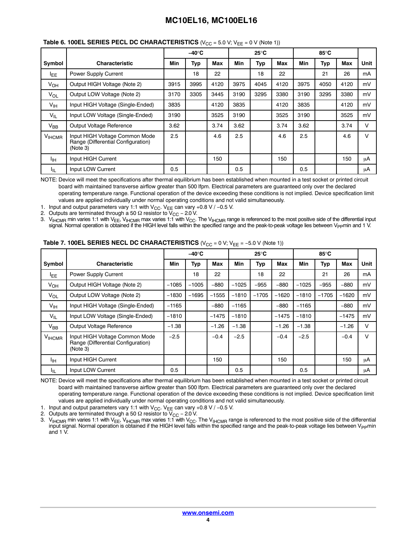|                       |                                                                                  | –40°C |      |      | $25^{\circ}$ C |      |      | 85°C       |      |      |        |
|-----------------------|----------------------------------------------------------------------------------|-------|------|------|----------------|------|------|------------|------|------|--------|
| Symbol                | <b>Characteristic</b>                                                            | Min   | Typ  | Max  | <b>Min</b>     | Typ  | Max  | <b>Min</b> | Typ  | Max  | Unit   |
| <sup>I</sup> EE       | Power Supply Current                                                             |       | 18   | 22   |                | 18   | 22   |            | 21   | 26   | mA     |
| <b>V<sub>OH</sub></b> | Output HIGH Voltage (Note 2)                                                     | 3915  | 3995 | 4120 | 3975           | 4045 | 4120 | 3975       | 4050 | 4120 | mV     |
| $V_{OL}$              | Output LOW Voltage (Note 2)                                                      | 3170  | 3305 | 3445 | 3190           | 3295 | 3380 | 3190       | 3295 | 3380 | mV     |
| V <sub>IH</sub>       | Input HIGH Voltage (Single-Ended)                                                | 3835  |      | 4120 | 3835           |      | 4120 | 3835       |      | 4120 | mV     |
| $V_{IL}$              | Input LOW Voltage (Single-Ended)                                                 | 3190  |      | 3525 | 3190           |      | 3525 | 3190       |      | 3525 | mV     |
| $V_{BB}$              | Output Voltage Reference                                                         | 3.62  |      | 3.74 | 3.62           |      | 3.74 | 3.62       |      | 3.74 | $\vee$ |
| <b>VIHCMR</b>         | Input HIGH Voltage Common Mode<br>Range (Differential Configuration)<br>(Note 3) | 2.5   |      | 4.6  | 2.5            |      | 4.6  | 2.5        |      | 4.6  | V      |
| Iін                   | Input HIGH Current                                                               |       |      | 150  |                |      | 150  |            |      | 150  | μA     |
| ŀμ                    | Input LOW Current                                                                | 0.5   |      |      | 0.5            |      |      | 0.5        |      |      | μA     |

#### **Table 6. 100EL SERIES PECL DC CHARACTERISTICS** (V<sub>CC</sub> = 5.0 V; V<sub>FF</sub> = 0 V (Note 1))

NOTE: Device will meet the specifications after thermal equilibrium has been established when mounted in a test socket or printed circuit board with maintained transverse airflow greater than 500 lfpm. Electrical parameters are guaranteed only over the declared operating temperature range. Functional operation of the device exceeding these conditions is not implied. Device specification limit values are applied individually under normal operating conditions and not valid simultaneously.

1. Input and output parameters vary 1:1 with  $V_{\text{CC}}$ . V<sub>EE</sub> can vary +0.8 V / -0.5 V.

2. Outputs are terminated through a 50  $\Omega$  resistor to V<sub>CC</sub> − 2.0 V.

3.  $\rm{V_{HCMR}}$  min varies 1:1 with V<sub>EE</sub>, V<sub>IHCMR</sub> max varies 1:1 with V<sub>CC</sub>. The V<sub>IHCMR</sub> range is referenced to the most positive side of the differential input signal. Normal operation is obtained if the HIGH level falls within the specified range and the peak-to-peak voltage lies between V<sub>PP</sub>min and 1 V.

|                 |                                                                                  |         | $-40^\circ C$ |         |            | 25°C    |         |            | 85°C       |         |      |  |
|-----------------|----------------------------------------------------------------------------------|---------|---------------|---------|------------|---------|---------|------------|------------|---------|------|--|
| Symbol          | <b>Characteristic</b>                                                            | Min     | Typ           | Max     | <b>Min</b> | Typ     | Max     | <b>Min</b> | <b>Typ</b> | Max     | Unit |  |
| <b>LEE</b>      | Power Supply Current                                                             |         | 18            | 22      |            | 18      | 22      |            | 21         | 26      | mA   |  |
| V <sub>OH</sub> | Output HIGH Voltage (Note 2)                                                     | $-1085$ | $-1005$       | $-880$  | $-1025$    | $-955$  | $-880$  | $-1025$    | $-955$     | $-880$  | mV   |  |
| $V_{OL}$        | Output LOW Voltage (Note 2)                                                      | $-1830$ | $-1695$       | $-1555$ | $-1810$    | $-1705$ | $-1620$ | $-1810$    | $-1705$    | $-1620$ | mV   |  |
| V <sub>IH</sub> | Input HIGH Voltage (Single-Ended)                                                | $-1165$ |               | $-880$  | $-1165$    |         | $-880$  | $-1165$    |            | $-880$  | mV   |  |
| $V_{IL}$        | Input LOW Voltage (Single-Ended)                                                 | $-1810$ |               | $-1475$ | $-1810$    |         | $-1475$ | $-1810$    |            | $-1475$ | mV   |  |
| $V_{BB}$        | Output Voltage Reference                                                         | $-1.38$ |               | $-1.26$ | $-1.38$    |         | $-1.26$ | $-1.38$    |            | $-1.26$ | V    |  |
| <b>VIHCMR</b>   | Input HIGH Voltage Common Mode<br>Range (Differential Configuration)<br>(Note 3) | $-2.5$  |               | $-0.4$  | $-2.5$     |         | $-0.4$  | $-2.5$     |            | $-0.4$  | V    |  |
| Iін             | Input HIGH Current                                                               |         |               | 150     |            |         | 150     |            |            | 150     | μA   |  |
| ŀμ              | Input LOW Current                                                                | 0.5     |               |         | 0.5        |         |         | 0.5        |            |         | μA   |  |

#### **Table 7. 100EL SERIES NECL DC CHARACTERISTICS** ( $V_{CC} = 0$  V;  $V_{EE} = -5.0$  V (Note 1))

NOTE: Device will meet the specifications after thermal equilibrium has been established when mounted in a test socket or printed circuit board with maintained transverse airflow greater than 500 lfpm. Electrical parameters are guaranteed only over the declared operating temperature range. Functional operation of the device exceeding these conditions is not implied. Device specification limit values are applied individually under normal operating conditions and not valid simultaneously.

1. Input and output parameters vary 1:1 with V<sub>CC</sub>. V<sub>EE</sub> can vary +0.8 V / −0.5 V.<br>2. Outputs are terminated through a 50 Ω resistor to V<sub>CC</sub> – 2.0 V.

Outputs are terminated through a 50  $\Omega$  resistor to V<sub>CC</sub> – 2.0 V.

3. V<sub>IHCMR</sub> min varies 1:1 with V<sub>EE</sub>, V<sub>IHCMR</sub> max varies 1:1 with V<sub>CC</sub>. The V<sub>IHCMR</sub> range is referenced to the most positive side of the differential input signal. Normal operation is obtained if the HIGH level falls within the specified range and the peak-to-peak voltage lies between Vppmin and 1 V.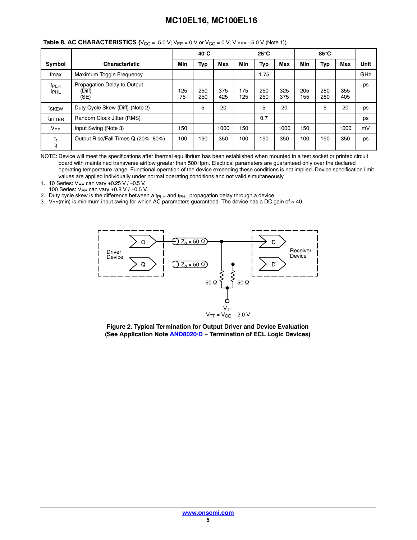|                                      |                                               | $-40^\circ C$ |            | $25^{\circ}$ C |            |            | 85°C       |            |            |            |      |
|--------------------------------------|-----------------------------------------------|---------------|------------|----------------|------------|------------|------------|------------|------------|------------|------|
| Symbol                               | <b>Characteristic</b>                         | Min           | Тур        | <b>Max</b>     | Min        | Typ        | <b>Max</b> | Min        | Typ        | <b>Max</b> | Unit |
| fmax                                 | Maximum Toggle Frequency                      |               |            |                |            | 1.75       |            |            |            |            | GHz  |
| <sup>t</sup> PLH<br><sup>t</sup> PHL | Propagation Delay to Output<br>(Diff)<br>(SE) | 125<br>75     | 250<br>250 | 375<br>425     | 175<br>125 | 250<br>250 | 325<br>375 | 205<br>155 | 280<br>280 | 355<br>405 | ps   |
| t <sub>SKEW</sub>                    | Duty Cycle Skew (Diff) (Note 2)               |               | 5          | 20             |            | 5          | 20         |            | 5          | 20         | ps   |
| <b>LJITTER</b>                       | Random Clock Jitter (RMS)                     |               |            |                |            | 0.7        |            |            |            |            | ps   |
| V <sub>PP</sub>                      | Input Swing (Note 3)                          | 150           |            | 1000           | 150        |            | 1000       | 150        |            | 1000       | mV   |
| t,<br>tŧ                             | Output Rise/Fall Times Q (20%-80%)            | 100           | 190        | 350            | 100        | 190        | 350        | 100        | 190        | 350        | ps   |

#### **Table 8. AC CHARACTERISTICS (** $V_{CC} = 5.0$  **V;**  $V_{EE} = 0$  **V or**  $V_{CC} = 0$  **V; V**  $_{EE} = -5.0$  **V (Note 1))**

NOTE: Device will meet the specifications after thermal equilibrium has been established when mounted in a test socket or printed circuit board with maintained transverse airflow greater than 500 lfpm. Electrical parameters are guaranteed only over the declared operating temperature range. Functional operation of the device exceeding these conditions is not implied. Device specification limit values are applied individually under normal operating conditions and not valid simultaneously.

1. 10 Series: V<sub>EE</sub> can vary +0.25 V / -0.5 V.

100 Series: V<sub>EE</sub> can vary +0.8 V / −0.5 V.

2. Duty cycle skew is the difference between a t $p_{LH}$  and t $p_{HL}$  propagation delay through a device.

3.  $\rm V_{PP}(min)$  is minimum input swing for which AC parameters guaranteed. The device has a DC gain of ≈ 40.



**Figure 2. Typical Termination for Output Driver and Device Evaluation (See Application Note [AND8020/D](http://www.onsemi.com/pub_link/Collateral/AND8020-D.PDF) − Termination of ECL Logic Devices)**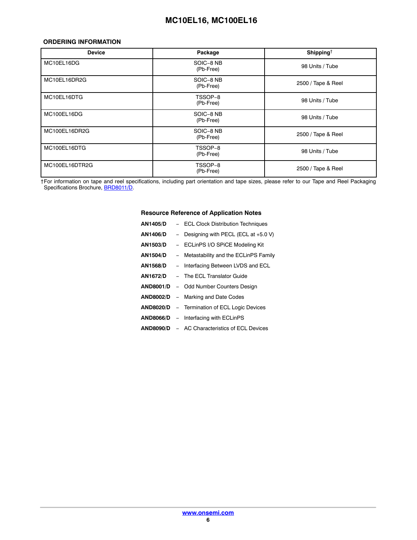#### <span id="page-5-0"></span>**ORDERING INFORMATION**

| <b>Device</b>  | Package                | Shipping <sup>†</sup> |
|----------------|------------------------|-----------------------|
| MC10EL16DG     | SOIC-8 NB<br>(Pb-Free) | 98 Units / Tube       |
| MC10EL16DR2G   | SOIC-8 NB<br>(Pb-Free) | 2500 / Tape & Reel    |
| MC10EL16DTG    | TSSOP-8<br>(Pb-Free)   | 98 Units / Tube       |
| MC100EL16DG    | SOIC-8 NB<br>(Pb-Free) | 98 Units / Tube       |
| MC100EL16DR2G  | SOIC-8 NB<br>(Pb-Free) | 2500 / Tape & Reel    |
| MC100EL16DTG   | TSSOP-8<br>(Pb-Free)   | 98 Units / Tube       |
| MC100EL16DTR2G | TSSOP-8<br>(Pb-Free)   | 2500 / Tape & Reel    |

†For information on tape and reel specifications, including part orientation and tape sizes, please refer to our Tape and Reel Packaging Specifications Brochure, [BRD8011/D.](http://www.onsemi.com/pub_link/Collateral/BRD8011-D.PDF)

#### **Resource Reference of Application Notes**

| <b>AN1405/D</b>  | - ECL Clock Distribution Techniques                  |
|------------------|------------------------------------------------------|
| AN1406/D         | - Designing with PECL (ECL at $+5.0$ V)              |
| AN1503/D         | - ECLinPS I/O SPICE Modeling Kit                     |
| <b>AN1504/D</b>  | - Metastability and the ECLinPS Family               |
| AN1568/D         | - Interfacing Between LVDS and ECL                   |
| AN1672/D         | - The ECL Translator Guide                           |
| <b>AND8001/D</b> | - Odd Number Counters Design                         |
| <b>AND8002/D</b> | - Marking and Date Codes                             |
| <b>AND8020/D</b> | - Termination of ECL Logic Devices                   |
|                  | <b>AND8066/D</b> – Interfacing with ECLinPS          |
|                  | <b>AND8090/D - AC Characteristics of ECL Devices</b> |
|                  |                                                      |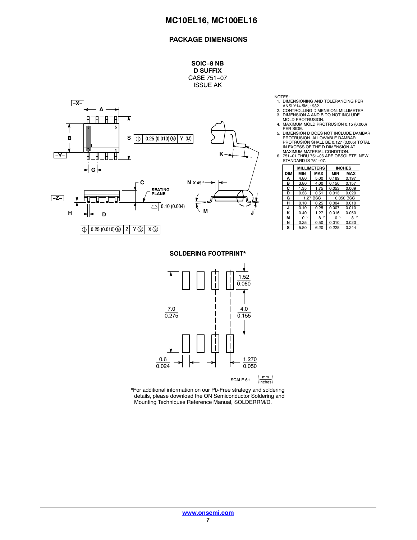### **PACKAGE DIMENSIONS**

**SOIC−8 NB D SUFFIX** CASE 751−07 ISSUE AK



- NOTES: 1. DIMENSIONING AND TOLERANCING PER
- ANSI Y14.5M, 1982. 2. CONTROLLING DIMENSION: MILLIMETER. 3. DIMENSION A AND B DO NOT INCLUDE MOLD PROTRUSION.
- 4. MAXIMUM MOLD PROTRUSION 0.15 (0.006) PER SIDE.
- 5. DIMENSION D DOES NOT INCLUDE DAMBAR PROTRUSION. ALLOWABLE DAMBAR<br>PROTRUSION SHALL BE 0.127 (0.005) TOTAL<br>IN EXCESS OF THE D DIMENSION AT<br>MAXIMUM MATERIAL CONDITION.<br>6. 751−01 THRU 751−07.<br>STANDARD IS 751−07.
- 

|     |              | <b>MILLIMETERS</b> |              | <b>INCHES</b> |  |  |  |  |  |  |
|-----|--------------|--------------------|--------------|---------------|--|--|--|--|--|--|
| DIM | MIN          | MAX                | <b>MIN</b>   | <b>MAX</b>    |  |  |  |  |  |  |
| А   | 4.80         | 5.00               | 0.189        | 0.197         |  |  |  |  |  |  |
| в   | 3.80         | 4.00               | 0.150        | 0.157         |  |  |  |  |  |  |
| С   | 1.35<br>1.75 |                    | 0.053        | 0.069         |  |  |  |  |  |  |
| D   | 0.33         | 0.51               | 0.013        | 0.020         |  |  |  |  |  |  |
| G   |              | 1.27 BSC           | 0.050 BSC    |               |  |  |  |  |  |  |
| н   | 0.10         | 0.25               | 0.004        | 0.010         |  |  |  |  |  |  |
| J   | 0.19         | 0.25               | 0.007        | 0.010         |  |  |  |  |  |  |
| κ   | 0.40         | 1.27               | 0.016        | 0.050         |  |  |  |  |  |  |
| М   | $\circ$<br>0 | $\circ$<br>8       | $\circ$<br>O | $\circ$<br>R  |  |  |  |  |  |  |
| N   | 0.25         | 0.50               | 0.010        | 0.020         |  |  |  |  |  |  |
| s   | 5.80         | 6.20               | 0.228        | 0.244         |  |  |  |  |  |  |

**SOLDERING FOOTPRINT\***



\*For additional information on our Pb-Free strategy and soldering details, please download the ON Semiconductor Soldering and Mounting Techniques Reference Manual, SOLDERRM/D.